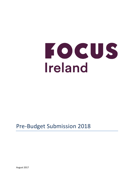# FOCUS Ireland

# Pre-Budget Submission 2018

August 2017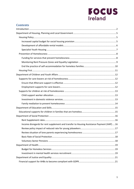# **FOCUS**<br>Ireland

### **Contents**

| Income disregards for rent supplement and transfer to Housing Assistance Payment (HAP)  16 |
|--------------------------------------------------------------------------------------------|
|                                                                                            |
|                                                                                            |
|                                                                                            |
|                                                                                            |
|                                                                                            |
|                                                                                            |
|                                                                                            |
|                                                                                            |
|                                                                                            |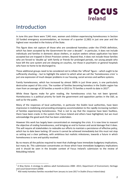

## <span id="page-2-0"></span>Introduction

 $\overline{\phantom{a}}$ 

In June this year there were 7,941 men, women and children experiencing homelessness in Section 10 funded emergency accommodation, an increase of a quarter (1,583) in just one year and the highest ever recorded in the history of the State.

This figure does not capture all those who are considered homeless under the ETHOS definition, which has been accepted by the Government for over a decade<sup>1</sup>: in particular, it does not include individuals and families in domestic abuse shelters, or asylum seekers whose application has been accepted but are trapped in Direct Provision centers. Beyond that, it does not include those families who are forced to 'double up' with family or friends for prolonged periods, nor young people who have left the care system and are sleeping on couches, nor those in psychiatric or general hospitals who have no home to be discharged to.

These additional groups need to be considered not to inflate the 'official' figure – which ought to be sufficiently shocking – but to highlight the extent to which what we call the 'homelessness crisis' is just one expression of much deeper problems in our housing, social services and welfare systems.

Family homelessness, which has increased by almost 300% in just three years, is one particularly destructive aspect of this crisis. The number of families becoming homeless in the Dublin region has risen from an average of 20 families a month in 2013 to 75 families a month to date in 2017<sup>2</sup>.

While these figures make for grim reading, the homelessness crisis has not been ignored. Homelessness is a political priority for both the government and opposition parties in the Dáil, as well as for the public.

Many of the responses of local authorities, in particular the Dublin local authorities, have been impressive in mobilizing and providing emergency accommodation to the rapidly increasing numbers of families experiencing homelessness. That is not to say that the response have been faultless, there have been cracks in the system that Focus Ireland and others have highlighted, but we must acknowledge the good work that has been undertaken.

However this work has largely been concentrated on *managing* the crisis. It is now time to reassert the objective of *ending* homelessness, and bringing an end to human and social damage that it does. This will require all stakeholders to redouble our efforts to maintain a persistence of effective policy, which has to date been lacking. Of course it cannot be achieved immediately but this must not stop us setting out a clear pathway, with ambitious but realistic milestones, towards a future in which homelessness is rare and quickly resolved.

By no means all the policies required to meet that challenge have immediate budgetary implications, but many do. This submission concentrates on those which have immediate budgetary implications and it should be seen in the broader context of Focus Ireland's submission to the review of Rebuilding Ireland.

 $^1$  A Way Home: A strategy to address adult homelessness 2008 –2013, Department of Environment, Heritage and Local Government (2008)

 $2$  450 newly homeless families recorded from January to June 2017 in Dublin (Focus Ireland data)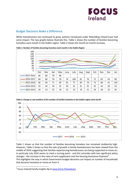

#### Budget Decisions Make a Difference

While homelessness has continued to grow, policies introduced under Rebuilding Ireland have had some impact. The two graphs below illustrate this. Table 1 shows the number of families becoming homeless each month in the Dublin region. Table 2 shows the month on month increase.



**Table 1: Number of families becoming homeless each month in the Dublin Region**



**Table 2: Change in real numbers of the number of families homeless in the Dublin region each month** 

Table 1 shows us that the number of families becoming homeless has remained stubbornly high. However, Table 2 shows us that the *rate of growth* in family homelessness has been slowed from the middle of 2016 suggesting that families experiencing homelessness are being supported to move-on. In particular July 2016 seems to mark a turning point - and this coincides with two significant policy changes - the increase in the rates of rent supplement and the Housing Assistance Payment<sup>3</sup>. This highlights the way in which Government budget decisions can impact on number of households that become homeless or move-on from it.

<sup>&</sup>lt;sup>3</sup> Focus Ireland Family Insights No.6 [www.bit.ly.FIslowdown](http://www.bit.ly.fislowdown/)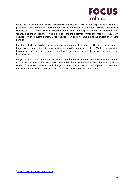

Many individuals and families that experience homelessness also face a range of other complex problems. Focus Ireland has documented this in a number of published 'Insights' into Family Homelessness<sup>4</sup>. While this is an important dimension - directing us towards the importance of tenancy and other supports  $-$  it can also obscure the potential immediate impact of budgetary decisions on our housing system. Good decisions can begin to have a positive impact over short periods.

But the effects of positive budgetary changes do not last forever. The increase in family homelessness in recent months suggests that the positive impact of the July 2016 Rent Supplement has run its course, and needs to be repeated again this year to prevent the progress we have made being eroded.

Budget 2018 will be an important marker as to whether the current minority Government is content to mitigate the impacts of mass homelessness or has the resolve to end it. This submission set out a series of effective measures with budgetary implications across the range of Government departments which have a role in tackling the causes and effects of homelessness.

<sup>4</sup> <https://www.focusireland.ie/research/>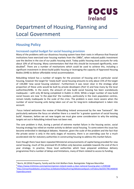

# <span id="page-5-0"></span>Department of Housing, Planning and Local Government

## <span id="page-5-1"></span>**Housing Policy**

l

#### <span id="page-5-2"></span>**Increased capital budget for social housing provision**

Many of the problems with our disastrous housing system have their roots in influence that financial institutions have exercised over housing markets from the 1980s<sup>5</sup>, when reduced public investment saw the decline in the size of our public housing stock. Today public housing stock accounts for only about 10% of all housing. Many commentators feel that this should be increased significantly, even doubled<sup>6</sup>. There are a number of mechanisms which could be used to achieve this, including a significant investment in direct-build public housing or leveraging the capacity of Approved Housing Bodies (AHB) to deliver affordable rental accommodation.

Rebuilding Ireland has a number of targets for the provision of housing and in particular social housing, however the target for 'newly built' social housing amounts to only about 15% of the target of 134,000 'new social housing solutions'. Furthermore it was never clear in the strategy what proportion of these units would be built by private developers (Part V) and how many by the local authorities/AHBs. In the event, the amount of new build social housing has been scandalously inadequate – with only 40 being completed in Dublin in 2016. While a larger number of new build social houses are now 'in the pipe-line' the numbers, particularly in the main population centres, remain totally inadequate to the scale of the crisis. The problem is even more severe when the number of social housing units being taken out of use for long-term redevelopment is taken into account.

Focus Ireland welcomes the review of Rebuilding Ireland announced by the new Taoiseach<sup>7</sup>. We particularly welcome the focus on whether there is a need for 'a greater quantum of social housing build'. However, before we set new targets we must give some consideration to why the existing targets set out in Rebuilding Ireland have not been met.

The core problem is that, during a period of extreme market failure in the housing sector, social housing strategy has relied on market activity to deliver social housing. To some extent this issue has become embroiled in ideological debates. However, given the scale of the problem and the fact that the private sector is only in the early stages of recovery, there is an overriding case for a much accelerated role for statutory authorities in constructing housing to address this market failure.

Even though there have been repeated Ministerial announcements of capital being provided for new social housing, much of the promised €5.35 billion only becomes available towards the end of the 6 year strategy. In practice, those local authorities which have prepared ambitious delivery programmes find a number of delays and limitations, many of them related to access to funding.

<sup>5</sup> Norris, M (2016) Property, Family and the Irish Welfare State. Basingstoke: Palgrave Macmillan

<sup>6</sup> <https://www.irishtimes.com/opinion/opinion-ireland-needs-a-clear-national-housing-plan-1.2590168> 7 [http://oireachtasdebates.oireachtas.ie/debates%20authoring/debateswebpack.nsf/takes/dail2017061400030](http://oireachtasdebates.oireachtas.ie/debates%20authoring/debateswebpack.nsf/takes/dail2017061400030?opendocument) [?opendocument](http://oireachtasdebates.oireachtas.ie/debates%20authoring/debateswebpack.nsf/takes/dail2017061400030?opendocument)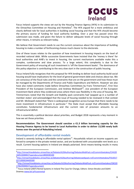# **HOCUS Ireland**

Focus Ireland supports the views set out by the Housing Finance Agency (HFA) in its submission to the Oireachtas Committee on Housing and Homeless<sup>8</sup>. The HFA argued for a more ambitious and clearly defined role for local authorities in building social housing and that the HFA should become the primary source of funding for local authority building. Over a year has passed since this submission was made, and given the failure to deliver adequate levels of social housing through other means, it remains as relevant today.

We believe that Government needs to use the current consensus about the importance of building housing to make a number of forthcoming choices much clearer to the electorate.

One of these issues relates to the question of how investment in housing impacts on the level of recorded national debt. While successive Governments have insisted that the 'money is there' for local authorities and AHB's to invest in housing, the current mechanisms available make this a complex, cumbersome and slow process. To a large extent, this complexity is due to the Government policy of ensuring all such investment is 'off the Government books'. The dominance of this policy objective is contributing to the very slow start in the construction of public housing.

Focus Ireland fully recognizes that this proposal for HFA lending to deliver local authority-build social housing would have implications for the level of general government debt and choices about tax. We are conscious of the fiscal rules and the constraints that are on the government and how these must be managed by the Departments of Finance and Public Expenditure and Reform. However we also have also noted comments made before Oireachtas Committees by Frans Timmermans<sup>9</sup>, First Vice President of the European Commission, and Andrew McDowell<sup>10</sup>, vice president of the European Investment Bank where they evidenced areas where there was flexibility in the area of housing. Mr. Timmermans noted that the Growth and Stability pack constraints had 'popped up in a number of member states' and acknowledged that the issue of housing needed to be reviewed in that context and Mr. McDowell stated that "there is widespread recognition across Europe that there needs to be more investment in infrastructure in particular." The State must accept that affordable housing constitutes fundamental infrastructure and the current rate of provision amounts to an infrastructural deficit.

This is essentially a political decision about priorities, and Budget 2018 represents a key moment in how we set those priorities.

**Recommendation: The Government should sanction a €1.3 billion borrowing capacity for the Housing Finance Agency to be loaned to Local Authorities in order to deliver 13,500 newly built homes over the period of Rebuilding Ireland.**

#### <span id="page-6-0"></span>**Development of affordable rental models**

 $\overline{a}$ 

Ireland is severely lacking in affordable rental options<sup>11</sup>. Households reliant on income supports are forced to compete in the private rented sector, and are burdened with unsustainable rent levels as a result. Current housing options in Ireland are deeply polarised. Strict means-testing results in many

<sup>8</sup> [http://oireachtasdebates.oireachtas.ie/Debates%20Authoring/DebatesWebPack.nsf/committeetakes/CHH20](http://oireachtasdebates.oireachtas.ie/Debates%20Authoring/DebatesWebPack.nsf/committeetakes/CHH2016052400002?opendocument#KKK00100) [16052400002?opendocument#KKK00100](http://oireachtasdebates.oireachtas.ie/Debates%20Authoring/DebatesWebPack.nsf/committeetakes/CHH2016052400002?opendocument#KKK00100)

<sup>9</sup> [http://oireachtasdebates.oireachtas.ie/debates%20authoring/debateswebpack.nsf/committeetakes/FDJ2017](http://oireachtasdebates.oireachtas.ie/debates%20authoring/debateswebpack.nsf/committeetakes/FDJ2017022100002#A00300) [022100002#A00300](http://oireachtasdebates.oireachtas.ie/debates%20authoring/debateswebpack.nsf/committeetakes/FDJ2017022100002#A00300)

<sup>&</sup>lt;sup>10</sup>[http://oireachtasdebates.oireachtas.ie/Debates%20Authoring/DebatesWebPack.nsf/committeetakes/CBO20](http://oireachtasdebates.oireachtas.ie/Debates%20Authoring/DebatesWebPack.nsf/committeetakes/CBO2017062900002?opendocument) [17062900002?opendocument](http://oireachtasdebates.oireachtas.ie/Debates%20Authoring/DebatesWebPack.nsf/committeetakes/CBO2017062900002?opendocument)

 $\frac{11}{11}$  Focus Ireland (2007) Rental Systems in Ireland The Case for Change, Editors: Simon Brooke and Dáithí Downe[y www.bit.lyFIcostrental](http://www.bit.lyficostrental/)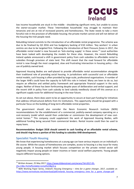# **FOCUS Ireland**

low income households are stuck in the middle - shouldering significant rents, but unable to access the owner-occupier market. These 'intermediate households' may struggle to maintain their tenancies and are at risk of increased poverty and homelessness. The State needs to take a more forceful role in the provision of affordable housing; the private market cannot and will not deliver all the housing the Irish people need.

Rebuilding Ireland commits to the introduction of an affordable rental programme. The scheme was due to be finalised by Q3 2016 and has budgetary backing of €10 million. 'Key workers' in urban centres are due to be targeted first. Following the introduction of Rent Pressure Zones in 2017, the affordable rental model is now focused on 'kick-starting supply' in these zones.<sup>12</sup> Local authorities have been tasked with developing the models for these sites. However, the recent Rebuilding Ireland update announced a shift in government policy from cash subsidies to affordable rental to subsidies through provision of state land. This shift meant that the road forward for affordable rental is now though the most congested, slow and frustrating intersection in housing policy – the use of publicly owned land.

Approved Housing Bodies are well-placed to provide affordable rental accommodation alongside their traditional role of providing social housing. In jurisdictions with successful cost or affordable rental models, such housing is often provided by large-scale, professional organisations. A number of the larger AHB's could have the capacity to fulfil this role in Ireland. Many are keen to do so, but require an effective and settled policy framework and appropriate financial support in the early stages. Neither of these has been forthcoming despite years of deliberation and verbal support, and the recent shift in policy from cash subsidy to land subsidy needlessly closed off this avenue as a significant supply route for additional housing in the near future.

As set out above, there does seem to be an opportunity to secure at least part funding for initiatives that address infrastructural deficits from EU institutions. This opportunity should be grasped with a particular focus on the building of long-term affordable rental properties.

The government should also consider the Nevin Economic Research Institute (NERI) recommendations for the establishment of a commercial, publicly-owned company operating on a cost-recovery model which would then undertake or commission the development of new costrental homes.<sup>13</sup> This company could supplement the work of Approved Housing Bodies, with additional funding being secured from commercial lenders. Rental income could then be used to repay loans.

**Recommendation: Budget 2018 should commit to cash funding of an affordable rental scheme, and should ring-fence a portion of this funding to subsidise AHB development.** 

#### <span id="page-7-0"></span>**Specialist Youth Housing**

l

We know that experiencing homelessness at a young age can have serious impacts on an individual's life course. While the causes of homelessness are complex, access to housing is a key issue for many young people. A housing market which focuses competition on the private rented sector will negatively impact young people on lower incomes or lower social welfare payments. Young people require different housing options.

<sup>&</sup>lt;sup>12</sup> Written Answer, 25 May 2017: [https://www.kildarestreet.com/wrans/?id=2017-05-](https://www.kildarestreet.com/wrans/?id=2017-05-25a.13&s=%22affordable+rental%22#g14.q) [25a.13&s=%22affordable+rental%22#g14.q](https://www.kildarestreet.com/wrans/?id=2017-05-25a.13&s=%22affordable+rental%22#g14.q)

<sup>13</sup> NERI Working Paper Series, *Ireland's Housing Emergency – time for a game changer*, 2017, available at: [https://www.nerinstitute.net/download/pdf/irelands\\_housing\\_emergency\\_time\\_for\\_a\\_game\\_changer.pdf](https://www.nerinstitute.net/download/pdf/irelands_housing_emergency_time_for_a_game_changer.pdf)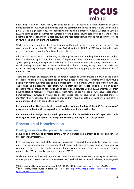# **HOCUS Ireland**

Rebuilding Ireland has been rightly criticised for its lack of action or acknowledgment of youth homelessness but we must acknowledge that the commitment to young care-leavers under action point 1.7, is a significant one. The Rebuilding Ireland commitment of Capital Assistance Scheme (CAS) funding to provide homes for vulnerable young people leaving care is welcome and has the potential to have a long-term impact. However the real potential will only be realised if investment in youth housing is sufficient and sustained.

While the level of commitment will need to run well beyond this government we are calling on this government to ensure that the €66 million of CAS allocation to TUSLA in 2017 is maintained in each of the remaining years of the Rebuilding Ireland plan.<sup>14</sup>

Allocation of mainstream social housing in Ireland gives priority to the length of time a person has been 'on the housing list' and the number of dependents they have. Both these critieria militate against young adults, making it extremely difficult for even very vulnerable young people to access social housing tenancies. Focus Ireland believes that there is a very strong case to establish an Approved Housing Body specialising in providing homes for young people, including those at risk of homelessness.

There are a number of successful models in other jurisdictions, which provide a mixture of social and cost rental housing for a wide social range of young people. This reduces stigma and allows young people with higher support needs to live in mixed tenure communities with people of their own age. The Finnish Youth Housing Association, whose staff recently visited Ireland, is a particularly successful model, providing housing to young people aged between 18 and 29. A percentage of their housing stock is reserved for young people with higher support needs or who have experienced homelessness. However, all young people can assess 'housing counselling' to support them to maintain their tenancies. This approach means that young people are living in mixed tenure communities, albeit with people their own age.

**Recommendation: The State should commit to the sustained funding of the 'CAS for care-leavers' programme, at least until the expiration of the Rebuilding Ireland action plan.** 

**Recommendation: Budget 2018 should signal support for the establishment of a specialist Youth Housing AHB, with appropriate flexibility in the existing housing finances programmes.**

## <span id="page-8-0"></span>**Prevention of Homelessness**

 $\overline{\phantom{a}}$ 

#### <span id="page-8-1"></span>**Funding for services that prevent homelessness**

Focus Ireland continues to advocate strongly for an increased commitment to policies and services that prevent homelessness.

Even as organisations and State agencies successfully support households to move on from emergency accommodation, the number of individuals and households experiencing homelessness continues to increase - the number of newly homeless families presenting to services each month remains high: 78 such families presented in June 2017.<sup>15</sup>

While the State has invested in some welcome preventative measures, including advertisement campaigns and a freephone service, operated by Threshold, Focus Ireland believes more targeted

<sup>14</sup> https://www.kildarestreet.com/wrans/?id=2017-05-09a.509&s=capital+assistance+scheme#g511.r

<sup>&</sup>lt;sup>15</sup> Focus Ireland, Latest Figures on Homelessness in Ireland: [https://www.focusireland.ie/resource-hub/latest](https://www.focusireland.ie/resource-hub/latest-figures-homelessness-ireland/)[figures-homelessness-ireland/](https://www.focusireland.ie/resource-hub/latest-figures-homelessness-ireland/)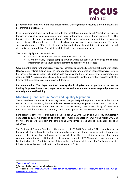

prevention measures would enhance effectiveness. Our organisation recently piloted a prevention programme in Dublin 15<sup>16</sup>.

In this programme, Focus Ireland worked with the local Department of Social Protection to write to families in receipt of rent supplement who were potentially at risk of homelessness. Over 165 families at risk of homelessness contacted us, 75% of whom had never contacted State prevention services before. Households were referred to clinics run by trained prevention workers. The pilot successfully supported 90% of at-risk families that contacted us to maintain their tenancies or find alternative accommodation. The pilot was fully funded by corporate partners.

This report highlighted the benefits of:

- Better access to Housing Advice and Information services
- More effectively targeted campaigns which utilise our collective knowledge and contact information about households that might be at risk of homelessness

Government funding for homeless services has increased substantially over the last number of years. However, a very large proportion of this money goes to pay for emergency responses, increasingly in the private, for-profit sector. €39 million was spent by the State on emergency accommodation alone in 2016.<sup>17</sup> Organisations struggle to provide accessible, quality prevention services with the trained staff necessary to actually make a difference.

**Recommendation: The Department of Housing should ring-fence a proportion of Section 10 funding for prevention services, in particular advice and information services, targeted prevention campaigns and staff training.** 

#### <span id="page-9-0"></span>**Monitoring Rent Pressure Zones and Equality Legislation**

There have been a number of recent legislative changes designed to protect tenants in the private rented sector. In particular, these include Rent Pressure Zones, changes to the Residential Tenancies Act 2004 and the Equal Status Acts 2000 to 2015. However, there is no policing of these new measures, and there are fears that many landlords will ignore their requirements under the law.

Rent pressure zones were introduced in December 2016 with Dublin and Cork city immediately designated as such. A number of additional zones were designated in January and March 2017, as they met the criteria laid out in the Planning and Development (Housing) and Residential Tenancies Act 2016.

The Residential Tenancy Board recently released their Q1 2017 Rent Index.<sup>18</sup> This analysis involves the rent which new tenants pay for their property, rather than the asking price and is therefore a more reliable figure that Daft reports. The results from the Q1 rent index indicate that rents continue to trend upwards. Nationally, rents increased at a rate of 7.37% annually. However, rents in Dublin declined by 1.5% this quarter. This was the result of a fall in rents for Dublin apartments. Private rents for houses continue to rise but at a rate of 0.1%.

l

<sup>&</sup>lt;sup>16</sup> [www.bit.ly/D15report](http://www.bit.ly/D15report)

<sup>17</sup> Source: Dublin Region Homeless Executive

<sup>18</sup> Available at: [http://www.rtb.ie/docs/default-source/default-document-library/rtb-rent-index-2017-q1-](http://www.rtb.ie/docs/default-source/default-document-library/rtb-rent-index-2017-q1-%283%29.pdf?sfvrsn=2) [%283%29.pdf?sfvrsn=2](http://www.rtb.ie/docs/default-source/default-document-library/rtb-rent-index-2017-q1-%283%29.pdf?sfvrsn=2)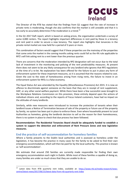

The Director of the RTB has stated that the findings from Q1 suggest that the rate of increase in private rents is moderating, though she also confirms that the market is still unstable and that it is too early to accurately determine if the moderation is a trend.<sup>19</sup>

In the Q1 2017 Daft report, which is based on asking prices, the organisation undertook a survey of some 4,000 renters. The report highlights important differences in rent paid by those in a tenancy and rent paid in order to secure a new tenancy. The report also highlights that tenancies in the private rental market are now held for a period of 3 years or more.

This combination of factors would suggest that if these properties are the mainstay of the properties that come onto the market in the coming months asking rents could fall as the 4% rule applicable to RPZ's will link asking rent to a rent lower than the previous quarter.

There are concerns that the moderation intended by RPZ designation will not occur due to the total lack of investment in the monitoring and policing of the rent predictability measures. At present there does not seem to be any likely consequence for any landlord who ignores that RPZ regulations at the time of a re-let. No explanation has been offered for the failure to put in place any form of enforcement system for these important measures, so it is assumed that the reasons related to cost. Given the cost to the state of homelessness arising from rising rents, the failure to invest in an enforcement system for RPZs is a false economy.

The Equal Status Act was amended by the Equality (Miscellaneous Provisions) Act 2015. It is now an offence to discriminate against someone on the basis that they are in receipt of rent supplement, HAP, or any other social welfare payment. While there have been a few successful cases brought to the Workplace Relations Commission on this provision, these entirely depend upon the actions of individual citizens and, according to the reports of Focus Ireland customers, have had no impact on the attitudes of many landlords.

Similarly, while new measures were introduced to increase the protection of tenants when their landlord issues a Notice of Termination because of sale of the property or future use of the property by family, no system has been put in place to enforce these. Even where households present to Local Authorities as homeless, giving the landlords decision to sell as the reason for their homelessness, there is no system in place to check that due process has been followed.

**Recommendation: The Residential Tenancies Board should be adequately funded to establish a system to support the detection and enforcement of Rent Pressure Zones and new legislative measures.** 

#### <span id="page-10-0"></span>**End the practice of self-accommodation for homeless families**

Where a family presents to the Dublin local authorities and is assessed as homeless under the legislation, it has become the practice in many cases for the family to be asked to find their own emergency accommodation, which will then be paid for by the local authority. This practice is known as 'self-accommodation'.

We estimate that around 250 families are currently made responsible for finding their own emergency accommodation each night in Dublin. While most of these families a capable of doing so, many families are under so much stress that they are unable to do so.

<sup>19</sup> Latest data from RTB quarterly rent index, available at: [https://www.rtb.ie/media-research/news](https://www.rtb.ie/media-research/news-centre/latest-news/2017/06/15/latest-data-from-rtb-quarterly-rent-index)[centre/latest-news/2017/06/15/latest-data-from-rtb-quarterly-rent-index](https://www.rtb.ie/media-research/news-centre/latest-news/2017/06/15/latest-data-from-rtb-quarterly-rent-index)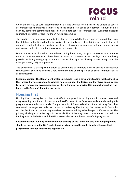

Given the scarcity of such accommodation, it is not unusual for families to be unable to source accommodation themselves. Families and Focus Ireland staff spend an enormous amount of time each day contacting commercial hotels in an attempt to source accommodation. Even after a hotel is sourced, the process for securing the LA funding is complex.

This practice represents an attempt to transfer the responsibility for securing accommodation from the statutory authorities to the family in crisis. It is justified as a cost containing measure by the local authorities, but in fact involves a transfer of the cost to other statutory and voluntary organisations and to vulnerable citizens at their most vulnerable moments.

Due to the scarcity of hotel accommodation during busy times, this practice results, from time to time, in some families which have been assessed as homeless under the legislation not being provided with any emergency accommodation for the night, and having to sleep rough or make other potentially risky arrangements.

The Government's existing commitment to end the use of commercial hotels except in exceptional circumstances should be linked to a new commitment to end the practice of 'self accommodation' in all circumstances.

**Recommendation: The Department of Housing should issue a Circular instructing local authorities that, where they assess a family as being homeless under the legislation, they have an obligation to secure emergency accommodation for them. Funding to provide this support should be ringfenced in the Section 10 funding provided.**

#### <span id="page-11-0"></span>**Housing First**

Housing First is recognised as the most effective approach to ending chronic homelessness and rough-sleeping, and Ireland has established itself as one of the European leaders in delivering this programme at a substantial scale. The partnership of Focus Ireland and Peter McVerry Trust has completed the target set under its contract of delivering 100 Housing First tenancies in Dublin by October 2017, and is now working to deliver the new Rebuilding Ireland target of 300 tenancies. The primary challenge to delivering this the availability of housing units, but continued and reliable funding from both the DoH and the HSE is essential to ensure the success of this programme

**Recommendation: Funding for the continued delivery of the Dublin Housing First 300 programme should be provided in the 2018 budget, and provision should be made for other Housing First programmes in other cities where appropriate.**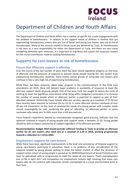

## <span id="page-12-0"></span>Department of Children and Youth Affairs

The Department of Children and Youth Affairs has a number of specific but crucial engagements with the problem of homelessness: in relation to the support needs of children in families that are experiencing homelessness, minors who are 'out of home' and young care leavers who are at risk of homelessness. Many of the services related to these issues are delivered by Tusla. As homelessness is not seen as a core responsibility for either the Department or Tusla, and there are very many compelling demands upon resources, it is important to ring-fence and sustain the resources needed for the crucial contribution made to tackling homelessness.

## <span id="page-12-1"></span>**Supports for care-leavers at risk of homelessness**

#### <span id="page-12-2"></span>**Ensure that Aftercare support is effective**

Over the course of the last number of years there has been steady legislative progress on the issue of aftercare and the provision of supports to prevent young people leaving the care system from experiencing homelessness. However, there remain certain groups of vulnerable care leavers who continue to face a very high risk of experiencing homelessness.

While there has been welcome, albeit slow, progress in the commencement of the Child Care amendment act 2015, there still remains major problems in availability of resources to meet the aftercare support needs of young people. One of the ways Tusla has sought to square the circle of working to meet the legislative commitment while living within budgetary constraints is to increase the number of young people which an aftercare worker is expected to support as part of their allocated caseload. Historically Focus Ireland aftercare services operate at a caseload of 15-20 but have recently been required to increase this to 22-25. In some aftercare services caseloads of over 30 are not uncommon. At this level of caseload the needs of a young person with complex needs cannot meaningfully be met, rendering the goal of 'allocating an aftercare worker to every careleaver who needs one' to little more than a tick-box exercise.

Focus Ireland's experience, backed by internationally recognised good-practice, indicates that the optimum caseload in respect of young people with support needs is between 15-20. Young people should be able to expect consistency of support regardless of the aftercare provider.

**Recommendation: Budget 2018 should provide sufficient funding to Tusla to provide an aftercare worker for all care leavers who need one at a caseload of 1:20 in 2018, working progressively towards a reduction to 1:18 by 2020.** 

#### <span id="page-12-3"></span>**Employment supports for care-leavers**

While there have been significant improvements in the level and consistency of financial support to young care-leavers continuing in education, there is no evidence of any consideration of the supports needed by young people seeking to enter the labour market. In effect the provision of support to this cohort of young people is passed on to INTREO/Department of Social Protection who have no specialised skills or programmes to meet the needs of care leavers. Youth unemployment was 12.9% in April 2017 and competition for employment remains high meaning that many care leavers who do not continue with education remain unemployed at a crucial and formative point in their lives.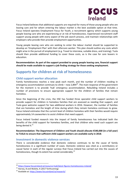

Focus Ireland believes that additional supports are required for many of those young people who are leaving care and for whom entering the labour market is the best available option at that time. Focus Ireland operates Employment Focus for Youth, a recruitment agency which supports young people leaving care who are experiencing or at risk of homelessness. Experienced recruitment staff support young people with every aspect of the job search process, and maintain relationships with employers who provide then provide employment opportunities.

Young people leaving care who are seeking to enter the labour market should be supported to develop an 'Employment Plan' with their aftercare worker. This plan should outline any costs which might arise in the pursuit of employment (e.g. Travel to interview, suitable dress, and training). Tusla should then provide additional funding to cover these costs, as is the case for care leavers in education.

**Recommendation: As part of the support provided to young people leaving care, financial support should be made available to support a job finding strategy for those seeking employment.**

## <span id="page-13-0"></span>**Supports for children at risk of homelessness**

#### <span id="page-13-1"></span>**Child support worker allocation**

Family homelessness reaches a new peak each month, and the number of children residing in emergency accommodation continues to climb – now 2,894 $^{20}$ . The main response of the government for the moment is to provide 'hub' emergency accommodation. Rebuilding Ireland includes a number of provisions to ensure appropriate support for the children of families that remain homeless.

Since the beginning of the crisis, the HSE has funded three specialist child support workers to provide support for children in homeless families that are assessed as needing that support, and Tusla gave welcome support for two additional workers in 2016. However, the number of families that are homeless and the length of time during which they remain homeless continues to grow. Focus Ireland estimates that the current level of children homeless with their families would require approximately 14 caseworkers to assist children that need support.

Focus Ireland funded research into the impact of family homelessness has indicated both the benefits of the child support for homeless families, and that children who need such support are being denied it. $^{21}$ 

**Recommendation: The Department of Children and Youth should allocate €540,000 (in a full year) to TUSLA to ensure that sufficient child support workers are available early in 2018**.

#### <span id="page-13-2"></span>**Investment in domestic violence services**

There is considerable evidence that domestic violence continues to be the cause of family homelessness in a significant number of cases. Domestic violence was cited as a contributory or causal factor in each of the regular surveys that Focus Ireland has carried out into the causes of homelessness, though its extent has varied considerably.<sup>22</sup>

<sup>&</sup>lt;sup>20</sup> <https://www.focusireland.ie/resource-hub/latest-figures-homelessness-ireland/>

 $21$  Harvey, B and Walshe, K (2017 forthcoming)

<sup>&</sup>lt;sup>22</sup> Available at:<https://www.focusireland.ie/research/>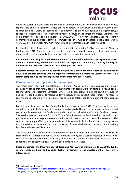

Given the current housing crisis and the lack of affordable housing for individuals fleeing violence, reports that domestic violence refuges are being forced to turn away hundreds of women and children are highly worrying. Rebuilding Ireland commits to providing additional emergency refuge spaces to protect those forced to leave their homes because of the threat of domestic violence. This commitment was due to be delivered in "2016/2017"<sup>23</sup>. However, Minister Zappone recently confirmed that five additional family accommodation units will be available in the Dublin area in "early 2018"<sup>24</sup>. It is unclear how many families will be accommodation in these five units.

Existing domestic violence services, which are now within the remit of TUSLA, have seen a 17% cut in funding since 2012. These vital services must be fully funded in order to protect those experiencing domestic violence, particularly those who lack safe accommodation as a result.

**Recommendation: Progress on the commitment in relation to homelessness arising from Domestic Violence in Rebuilding Ireland must be funded and expedited. In addition, statutory funding for domestic violence services should be returned to pre-2012 levels.** 

**Recommendation: Tusla should be required to provide a timely monthly report of the number of adults and children provided with emergency accommodation in Domestic Violence services, in a format compatible to the figures provided by the Department of Housing.**

#### <span id="page-14-0"></span>**Family mediation to prevent homelessness**

The major study into youth homelessness in Ireland, 'Young People, Homelessness and Housing Exclusion<sup>'25</sup>, found that family conflict or arguments with carers were key factors in young people leaving home and becoming homeless. Where family breakdown is not the result of abuse or neglect, it is can be possible to resolve underlying issues and so support reconciliation. The research recommended that a family mediation service should be established to help prevent homelessness in such cases.

Focus Ireland launched its pilot Family Mediation service in June 2016, fully funding by private donations but with Tusla support in governance and referrals. The service has successfully supported young people to return to the family home and to improve their relationships with family and carers. The service receives referrals from the TUSLA Crisis Intervention Service and works with young people who are in emergency accommodation or who are at serious risk of homelessness. The service is currently staffed by a single mediator. This necessarily limits the number of young people that the service can work with, and the complexity of cases which the service can accept. A waiting list of referrals has already built up.

The value and effectiveness of this intervention is already evident and Focus Ireland is seeking for Department of Children and Youth Affairs to provide funding for a second mediator to work alongside the exiting privately funded mediator, to increase the number of families/children that can be supported, and so stem the flow of young people into homelessness.

**Recommendation: The Department of Children and Youth Affairs should provide €63,000 to fund a second family mediator and consider further investment in the development of this service intervention.** 

<sup>&</sup>lt;sup>23</sup> Rebuilding Ireland, page 88

<sup>&</sup>lt;sup>24</sup> <https://www.kildarestreet.com/debates/?id=2017-07-04a.367&s=refuge+rebuilding+ireland#g370.r>

<sup>&</sup>lt;sup>25</sup> Mayock, Parker, Murphy 'Young People, Homelessness and Housing Exclusion' (2014)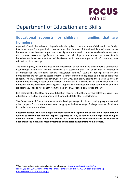

## <span id="page-15-0"></span>Department of Education and Skills

## <span id="page-15-1"></span>**Educational supports for children in families that are homeless**

A period of family homelessness is profoundly disruptive to the education of children in the family. Problems range from practical issues such as the distance of travel and lack of space to do homework to psychological impacts such as stigma and depression. International evidence suggests that homelessness can significantly increase the risk of poor educational outcomes. Family homelessness is an extreme form of deprivation which creates a grave risk of translating into educational disadvantage.

The primary policy instrument used by the Department of Education and Skills to tackle educational disadvantage is the DEIS system. However, it is estimated that 45% of children in emergency accommodation are attending non-DEIS-designated schools.<sup>26</sup> Levels of housing instability and homelessness are not used to assess whether a school should be designated as in need of additional support. The DEIS scheme was reviewed in early 2017 and again, despite the massive growth of family homelessness, it received no substantive mention. As a result, half of the children who are homeless are excluded from accessing DEIS supports like breakfast and after-school clubs and free school meals. They do not benefit from the help of HSCL or school completion officers.

It is essential that the Department of Education recognise that the family homelessness crisis is an educational crisis too, and responding to it cannot be left to other Departments.

The Department of Education must urgently develop a range of policies, training programmes and other supports for schools and teachers struggling with the challenge of a large number of children in families that are homeless.

**Recommendation: The 2018 budgetary allocation to the Department of Education should include funding to provide educational supports, separate to DEIS, to schools with a high-level of pupils who are homeless. The Department should also be resourced to ensure teachers are trained to understand the difficulties faced by families and children experiencing homelessness.** 

<sup>&</sup>lt;sup>26</sup> See Focus Ireland Insights into Family Homelessness: [https://www.focusireland.ie/wp](https://www.focusireland.ie/wp-content/uploads/2016/04/Insights-into-Family-Homelessness-No-3-2016-Children-experiencing-Homelessness-and-DEIS-Schools.pdf)[content/uploads/2016/04/Insights-into-Family-Homelessness-No-3-2016-Children-experiencing-](https://www.focusireland.ie/wp-content/uploads/2016/04/Insights-into-Family-Homelessness-No-3-2016-Children-experiencing-Homelessness-and-DEIS-Schools.pdf)[Homelessness-and-DEIS-Schools.pdf](https://www.focusireland.ie/wp-content/uploads/2016/04/Insights-into-Family-Homelessness-No-3-2016-Children-experiencing-Homelessness-and-DEIS-Schools.pdf)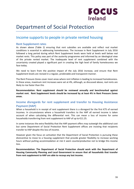

## <span id="page-16-0"></span>Department of Social Protection

## Income supports to people in private rented housing

#### <span id="page-16-1"></span>**Rent Supplement rates**

As shown above (Table 2) ensuring that rent subsidies are available and reflect real market conditions is essential in addressing homelessness. The increase in Rent Supplement in July 2016 followed a long period during which Rent Supplement levels were held at levels well below real market rents. This policy was part of the austerity programme and informed by an ideological view of the private rented market. The inadequate level of rent supplement combined with the uncertainty created played a significant part in creating the high level of family homelessness we face today.

We need to learn from the positive impact of the July 2016 increase, and ensure that Rent Supplement levels are revised in a regular, predictable and transparent manner.

The Rent Pressure Zones cover most areas where rent inflation is leading to increased homelessness. In these areas, maximum rent increases were set at 4%, although, as discussed above, real rents are likely to rise faster than this

**Recommendation: Rent supplement should be reviewed annually and benchmarked against market rent. Rent Supplement levels should be increased by at least 4% in Rent Pressure Zones areas.** 

#### <span id="page-16-2"></span>**Income disregards for rent supplement and transfer to Housing Assistance Payment (HAP)**

When a household is in receipt of rent supplement there is a disregard for the first €75 of earned incomes. In circumstances where a household transfers to the HAP all earned income is taken account of when calculating the differential rent. This can mean a loss of income for some households transferring from rent supplement to HAP of up to €11.25.

In some instances the extra flexibility that the HAP payment offers may outweigh the additional cost but some Department of Social Protection Rent Supplement offices are insisting that recipients transfer to HAP despite this loss of income.

However given the focus on activation that the Department of Social Protection is pursuing these disincentive to move to a housing supplement that provide greater flexibility to increase working hours without putting accommodation at risk it seem counterproductive not to bridge this income loss.

**Recommendation: The Department of Social Protection should work with the Department of Housing Community Planning and Local Government to ensure that all households that transfer from rent supplement to HAP are able to recoup any lost income.**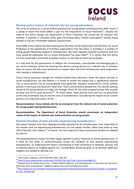# **HOCUS Ireland**

#### <span id="page-17-0"></span>**Review policy impact of reduced rate for young jobseekers**

The series of reductions in social welfare payments for young people introduced since 2009, result in a saving of more than  $£150$  million a year for the Department of Social Protection<sup>27</sup>. Despite the scale of this policy change, the Department of Social Protection has carried out no research into whether it achieves is intended policy goal (increasing labour market participation among young people) or has any unintended negative consequences.

Since 2009, Focus Ireland has been drawing the attention of the Department and Ministers for Social Protection to the experience of homeless organisations that this policy is resulting in a number of young people becoming trapped in homelessness. We have regularly received assurances that this issue would be addressed, yet no action whatsoever has been taken<sup>28</sup>. It is certain that this policy has had catastrophic and totally avoidable impacts on the lives of many young people.

It is now time for the government to address this unnecessary, unacceptable and damaging gap in our social protection system by ensuring that where a young person on a reduced rate is homeless they can access full rate social protection to support their exit from homelessness (and progression into training or employment).

Focus Ireland advocates strongly for evidence-based policy decisions. Given the above increase in youth homelessness, we also believe it is timely to review the impact that a significantly reduced rate of social welfare has on young people more generally. Research conducted on similar welfare policies in Germany and Denmark notes that "from a preventative perspective, the harsher policies aimed at the young equate to a high-risk strategy, which for the most marginal groups may actually increase the risk of social exclusion"<sup>29</sup>. As noted above, State policies must now turn to prevention as the only meaningful way to end the crisis of homelessness. Considering the impact of our current policies is an important aspect of this.

**Recommendation: Focus Ireland calls for an exemption from the reduced rate of social protection for young people leaving homelessness.** 

**Recommendation: The Department of Social Protection should commission an independent review of the impact of reduced rate social protection on young people.** 

#### <span id="page-17-1"></span>**Review situation of lone parents experiencing homelessness**

One parent families have been disproportionally impacted by the homelessness crisis. Some 65% of the families that are experiencing homelessness are one parent families, while they make up only 25% of families with children<sup>30</sup> in Ireland. The vast majority of these lone parent families are headed by women.

This disproportionate impact has been largely ignored in policy responses to family homelessness. It is time for the State to comprehensively review the situation of lone parents experiencing homelessness, to understand the factors contributing to their prevalence in homeless services and to develop policies to mitigate against this. Consideration should be given as to whether additional supports are needed to alleviate risk.

 $\overline{a}$ 

<sup>&</sup>lt;sup>27</sup> Dail Eireann, Debates, 25th November 2015, 200-201.

<sup>&</sup>lt;sup>28</sup> <https://www.kildarestreet.com/wrans/?id=2013-04-24a.112&s=focus+Ireland#g114.r>

<sup>&</sup>lt;sup>29</sup> Benjaminsen & Busch-Geertsema, "Labour Market Reforms and Homelessness in Denmark and Germany: Dilemmas and Consequences" (2009) European Journal of Homelessness p144

<sup>&</sup>lt;sup>30</sup>[http://www.cso.ie/en/media/csoie/releasespublications/documents/population/2017/Chapter\\_4\\_Househol](http://www.cso.ie/en/media/csoie/releasespublications/documents/population/2017/Chapter_4_Households_and_families.pdf) [ds\\_and\\_families.pdf](http://www.cso.ie/en/media/csoie/releasespublications/documents/population/2017/Chapter_4_Households_and_families.pdf)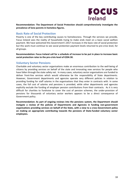

**Recommendation: The Department of Social Protection should comprehensively investigate the prevalence of lone parents in homeless figures.** 

#### <span id="page-18-0"></span>**Basic Rate of Social Protection**

Poverty is one of the key contributing causes to homelessness. Through the services we provide, Focus Ireland sees the reality of households trying to make ends meet on a basic social welfare payment. We have welcomed this Government's 2017 increases in the basic rate of social protection but this work must continue to see social protection payment levels returned to pre-crisis level, for all groups.

**Recommendation: Focus Ireland call for a schedule of increase to be put in place to increase basic social protection rates to the pre-crisis level of €204.30.** 

#### <span id="page-18-1"></span>**Voluntary Sector Pensions**

Charitable and voluntary sector organisations make an enormous contribution to the well-being of citizens by providing services on behalf of the state and innovating new services for people who have fallen through the state safety net. In many cases, voluntary sector organisations are funded to deliver front-line services which would otherwise be the responsibility of State departments. However, Government departments and agencies operate very different policies in relation to providing funding for staff salaries in the organisations that they enter in contracts with. In some cases, the full cost of salaries and pensions is provided, while other departments and agencies explicitly exclude the funding of employer pension contributions from their contracts. As it is very difficult for charities to fundraise to cover the cost of pension schemes, the under-provision of pensions for thousands of voluntary sector workers appears to be a direct consequence of Government policy.

**Recommendation: As part of ongoing reviews into the pensions system, the Department should instigate a review of the policies of Departments and Agencies in funding non-government organisations providing services on behalf of the State, with a view to a cross-Government policy on making an appropriate contributing towards the pensions of State-funded voluntary sector employees.**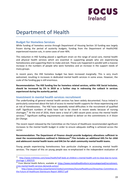

## <span id="page-19-0"></span>Department of Health

#### <span id="page-19-1"></span>**Budget for Homeless Services**

While funding of homeless service through Department of Housing Section 10 funding was largely frozen during the period of austerity budgets, funding from the Department of Health/HSE experienced massive cuts, in some cases of over 40%.

This reduction in HSE funding placed a significant strain on the range of social care, mental health and physical health services which are essential in supporting people who are experiencing homelessness and supporting them to make and exit. These cuts happened in parallel with a massive increase in the numbers of people who were homeless and an increase in the support needs of many groups.

In recent years, the HSE homeless budget has been increased marginally. This is very much welcomed, resulting in increases in dedicated mental health services in some areas. However, the scale of the funding gap is still enormous.

**Recommendation: The HSE funding line for homeless related services, within HSE Social Inclusion, should be increased by 5% in 2018 as a further step in redressing the cutback in services experienced during the austerity period.**

#### <span id="page-19-2"></span>**Investment in mental health services recruitment**

The underfunding of general mental health services has been widely documented. Focus Ireland is particularly concerned about the lack of access to mental health supports for those experiencing and at risk of homelessness. The HSE have repeatedly noted difficulties in the recruitment of qualified staff. Significant numbers of beds have had to be closed in recent weeks because of nursing shortages.<sup>31</sup> At the end of 2016, there were a total of 1,483 vacant posts across the mental health services.<sup>32</sup> Significant staffing requirements are needed to deliver on the commitments in *A Vision for Change*.

The recent report released by the Committee on the Future of Healthcare recommended significant increases to the mental health budget in order to ensure adequate staffing is achieved across the sector.

#### **Recommendation: The Department of Finance should provide budgetary allocations sufficient to meet the recommendations outlined in Sláintecare<sup>33</sup>.This includes an additional €45.7m for child and adolescent mental health teams and €44.5m for adult community mental health teams.**

Young people experiencing homelessness face particular challenges in accessing mental health services. The impact of this on young people was re-emphasised in the independent evaluation of

 $31$ [http://www.irishtimes.com/news/health/half-beds-at-children-s-mental-health-unit-to-close-due-to-nurse](http://www.irishtimes.com/news/health/half-beds-at-children-s-mental-health-unit-to-close-due-to-nurse-shortage-1.3092525)[shortage-1.3092525](http://www.irishtimes.com/news/health/half-beds-at-children-s-mental-health-unit-to-close-due-to-nurse-shortage-1.3092525)

<sup>&</sup>lt;sup>32</sup> From Mental Health Reform, available at: [https://www.mentalhealthreform.ie/uncategorised/recruitment](https://www.mentalhealthreform.ie/uncategorised/recruitment-crisis-mental-health-services-demands-action/)[crisis-mental-health-services-demands-action/](https://www.mentalhealthreform.ie/uncategorised/recruitment-crisis-mental-health-services-demands-action/)

[http://www.oireachtas.ie/parliament/media/committees/futureofhealthcare/Oireachtas-Committee-on](http://www.oireachtas.ie/parliament/media/committees/futureofhealthcare/Oireachtas-Committee-on-the-Future-of-Healthcare-Slaintecare-Report-300517.pdf)[the-Future-of-Healthcare-Slaintecare-Report-300517.pdf](http://www.oireachtas.ie/parliament/media/committees/futureofhealthcare/Oireachtas-Committee-on-the-Future-of-Healthcare-Slaintecare-Report-300517.pdf)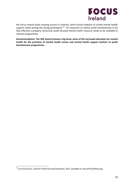

the Focus Ireland youth housing service in Limerick, which found evidence of unmet mental health support needs among the young participants.<sup>34</sup> For measures to reduce youth homelessness to be fully effective a properly resourced, youth-focused mental health resource needs to be available to relevant programmes.

**Recommendation: The HSE Social Inclusion ring-fence some of the increased allocation for mental health for the provision of mental health nurses and mental health support workers to youth homelessness programmes.** 

l

<sup>34</sup> Just Economics, *Limerick Youth Housing Evaluation*, 2017, available at: bit.ly/FIYouthHousing